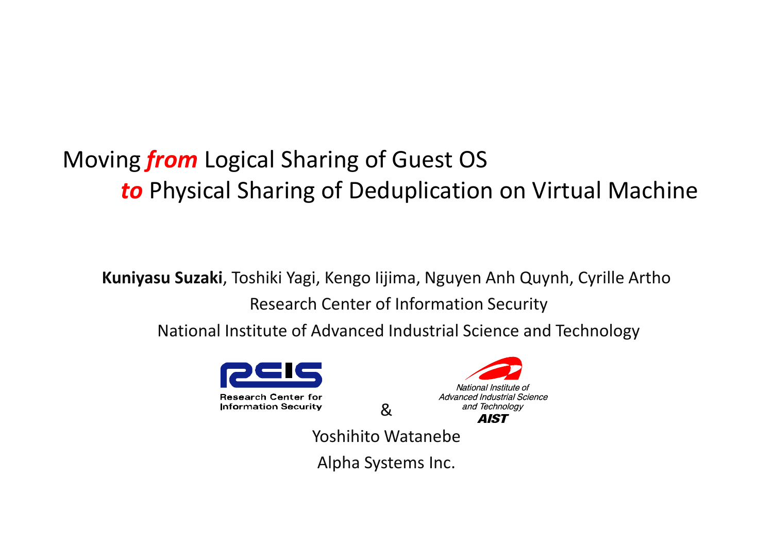#### Moving *from* Logical Sharing of Guest OS *to* Physical Sharing of Deduplication on Virtual Machine

**Kuniyasu Suzaki**, Toshiki Yagi, Kengo Iijima, Nguyen Anh Quynh, Cyrille Artho Research Center of Information Security National Institute of Advanced Industrial Science and Technology

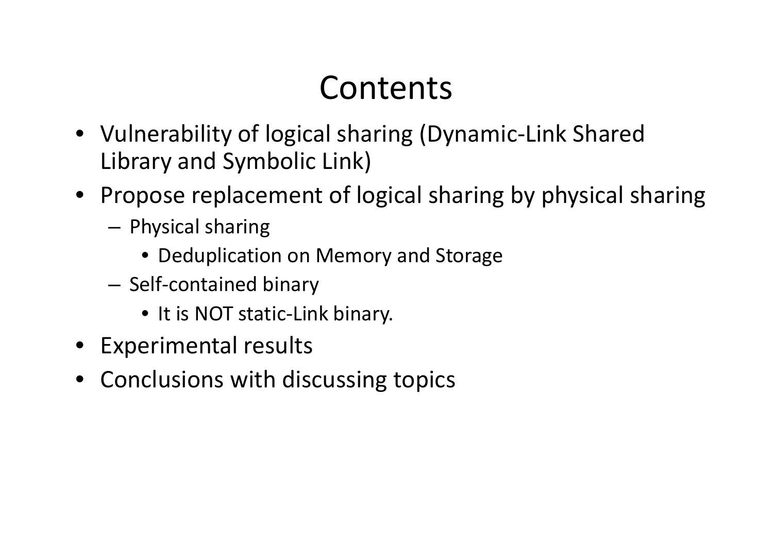### Contents

- Vulnerability of logical sharing (Dynamic-Link Shared Library and Symbolic Link)
- Propose replacement of logical sharing by physical sharing
	- **Links of the Common**  $-$  Physical sharing
		- Deduplication on Memory and Storage
	- **Links of the Common**  $-$  Self-contained binary
		- It is NOT static-Link binary.
- Experimental results
- Conclusions with discussing topics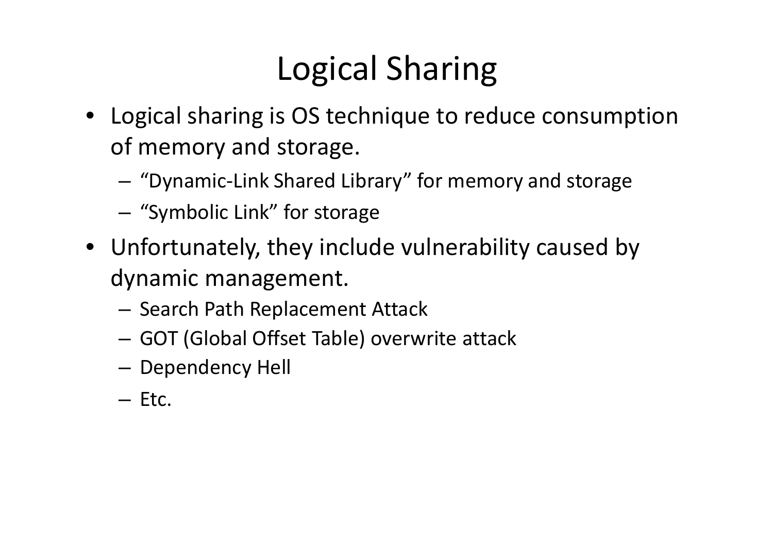# Logical Sharing

- Logical sharing is OS technique to reduce consumption of memory and storage.
	- **Links of the Common** — "Dynamic-Link Shared Library" for memory and storage
	- **Links of the Common**  $-$  "Symbolic Link" for storage
- Unfortunately, they include vulnerability caused by dynamic management.
	- – $-$  Search Path Replacement Attack
	- and the state of the — GOT (Global Offset Table) overwrite attack
	- – $-$  Dependency Hell
	- Etc.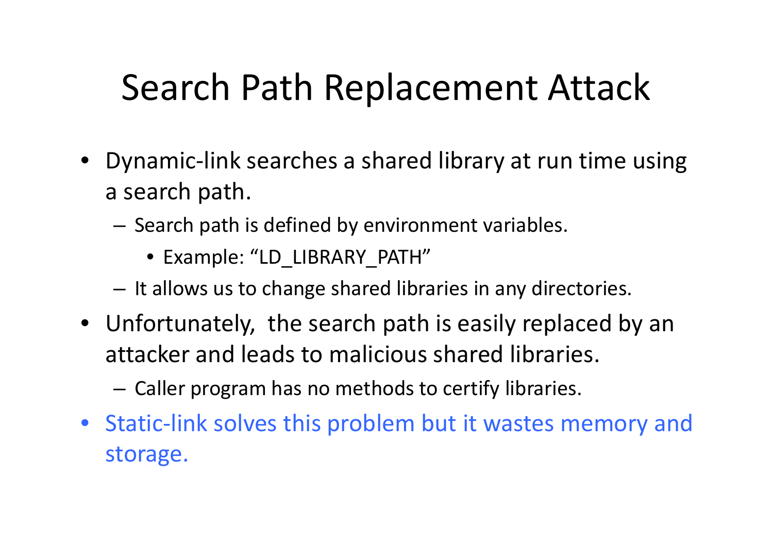# Search Path Replacement Attack

- Dynamic-link searches a shared library at run time using a search path.
	- – $-$  Search path is defined by environment variables.
		- Example: "LD\_LIBRARY\_PATH"
	- and the state of the  $-$  It allows us to change shared libraries in any directories.
- Unfortunately, the search path is easily replaced by an attacker and leads to malicious shared libraries.
	- – $-$  Caller program has no methods to certify libraries.
- Static-link solves this problem but it wastes memory and storage.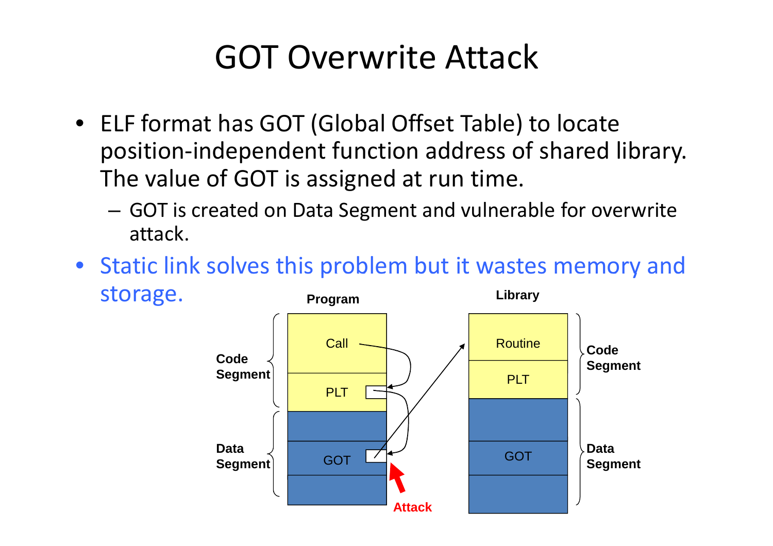#### GOT Overwrite Attack

- ELF format has GOT (Global Offset Table) to locate position-independent function address of shared library. The value of GOT is assigned at run time.
	- and the state of the GOT is created on Data Segment and vulnerable for overwrite attack.
- Static link solves this problem but it wastes memory and **Program Library** storage.

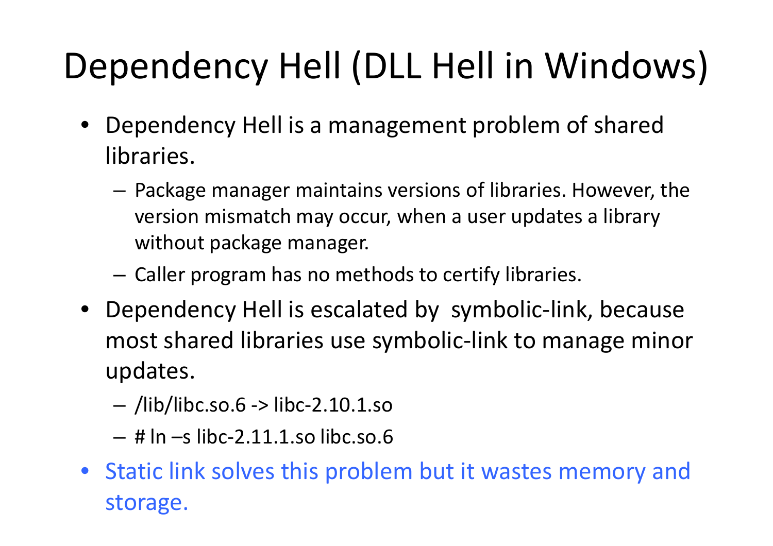# Dependency Hell (DLL Hell in Windows)

- $\bullet$  Dependency Hell is a management problem of shared libraries.
	- **Links of the Common**  $-$  Package manager maintains versions of libraries. However, the version mismatch may occur, when a user updates a library without package manager.
	- **Links of the Common**  $-$  Caller program has no methods to certify libraries.
- Dependency Hell is escalated by symbolic-link, because most shared libraries use symbolic-link to manage minor updates.
	- –/lib/libc.so.6 -> libc-2.10.1.so
	- # ln –s libc-2.11.1.so libc.so.6
- Static link solves this problem but it wastes memory and storage.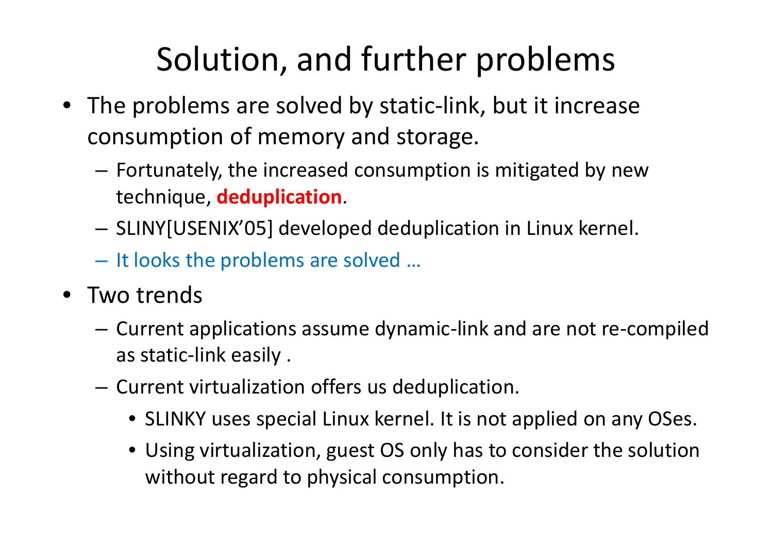# Solution, and further problems

- The problems are solved by static-link, but it increase consumption of memory and storage.
	- $-$  Fortunately, the increased consumption is mitigated by new technique, **deduplication**.
	- $-$  SLINY[USENIX'05] developed deduplication in Linux kernel.
	- – $-$  It looks the problems are solved  $...$
- Two trends
	- Current applications assume dynamic-link and are not re-compiled as static-link easily .
	- $-$  Current virtualization offers us deduplication.
		- SLINKY uses special Linux kernel. It is not applied on any OSes.
		- Using virtualization, guest OS only has to consider the solution without regard to physical consumption.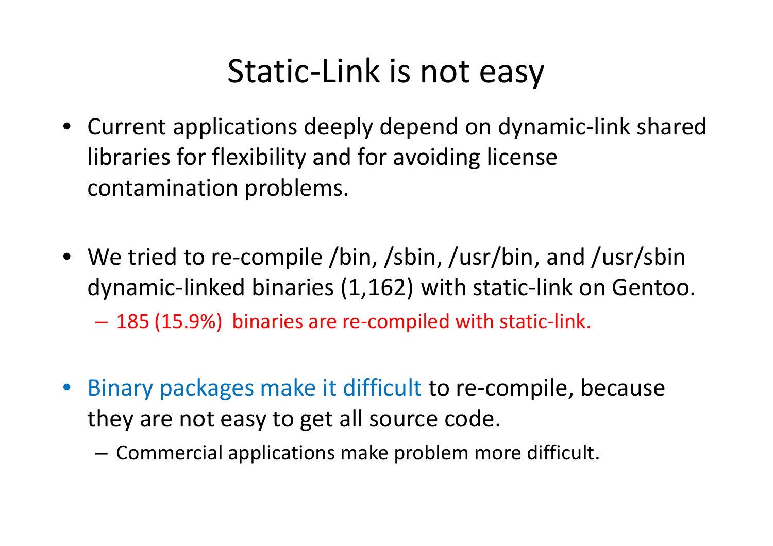#### Static-Link is not easy

- Current applications deeply depend on dynamic-link shared libraries for flexibility and for avoiding license contamination problems.
- We tried to re-compile /bin, /sbin, /usr/bin, and /usr/sbin dynamic-linked binaries (1,162) with static-link on Gentoo.

185 (15.9%) binaries are re-compiled with static-link.

- • Binary packages make it difficult to re-compile, because they are not easy to get all source code.
	- – $-$  Commercial applications make problem more difficult.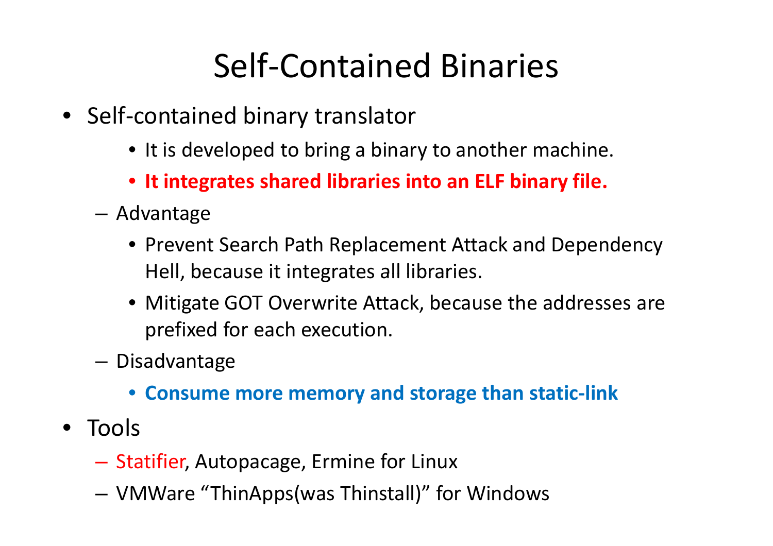### Self-Contained Binaries

- Self-contained binary translator
	- It is developed to bring a binary to another machine.
	- **It integrates shared libraries into an ELF binary file.**
	- Advantage
		- Prevent Search Path Replacement Attack and Dependency Hell, because it integrates all libraries.
		- Mitigate GOT Overwrite Attack, because the addresses are prefixed for each execution.
	- – Disadvantage
		- **Consume more memory and storage than static-link**
- Tools
	- –— Statifier, Autopacage, Ermine for Linux
	- VMWare "ThinApps(was Thinstall)" for Windows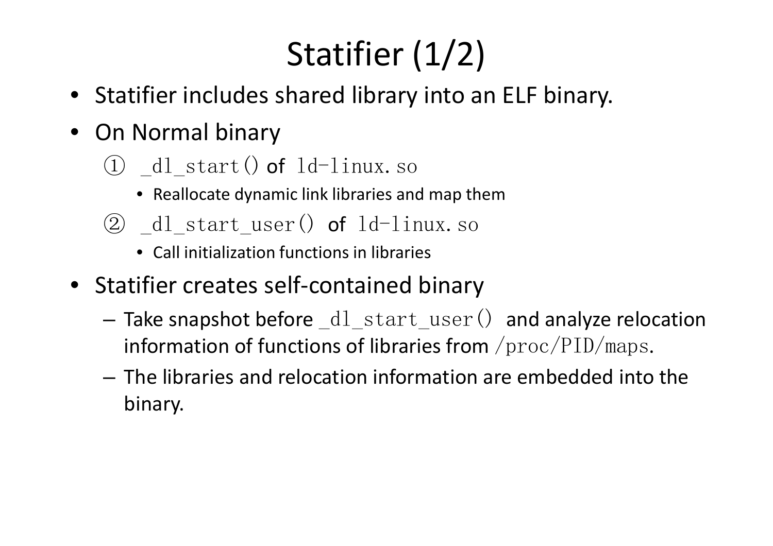# Statifier (1/2)

- Statifier includes shared library into an ELF binary.
- On Normal binary
	- (1)  $dl\_start()$  of  $ld-linux$ . so
		- Reallocate dynamic link libraries and map them
	- $\odot$  dl start user() of 1d-linux.so
		- Call initialization functions in libraries
- Statifier creates self-contained binary
	- – $-$  Take snapshot before  $\_$ d $1\_$ s $\tanct\_user$  () and analyze relocation information of functions of libraries from  $/$ proc $/$ PID $/$ maps.
	- The libraries and relocation information are embedded into the binary.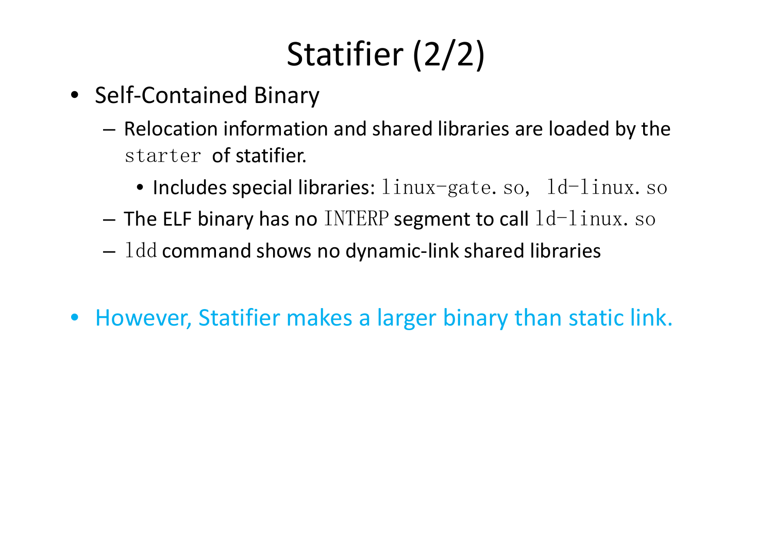# Statifier (2/2)

- Self-Contained Binary
	- – $-$  Relocation information and shared libraries are loaded by the starter **of statifier.** 
		- $\bullet$  Includes special libraries:  $\lim_{x\to a}$  ate. so,  $\lim_{x\to a}$  ld- $\lim_{x\to a}$
	- **Links of the Common**  $-$  The ELF binary has no  $\rm{INTERP}$  segment to call  $\rm{1d-1}$ inux.  $\rm{so}$
	- **Links of the Common**  $1$ dd command shows no dynamic-link shared libraries
- However, Statifier makes a larger binary than static link.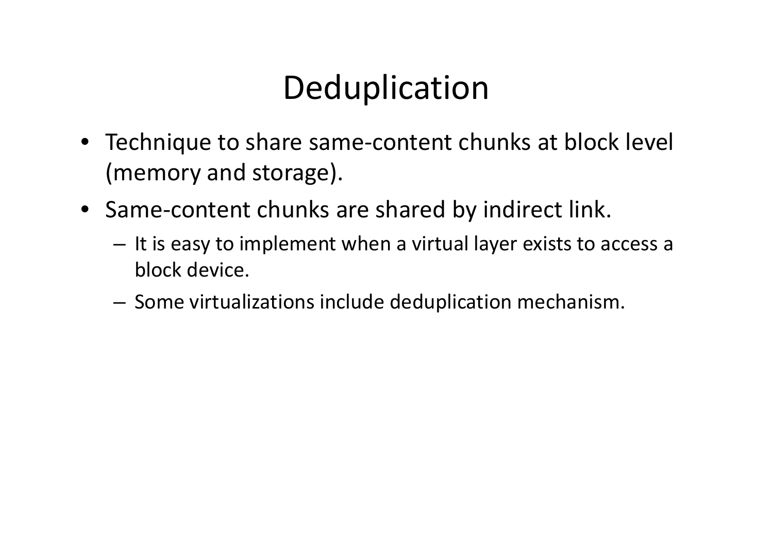#### **Deduplication**

- Technique to share same-content chunks at block level (memory and storage).
- Same-content chunks are shared by indirect link.
	- **Links of the Common**  $-$  It is easy to implement when a virtual layer exists to access a  $\,$ block device.
	- **Links of the Common**  $-$  Some virtualizations include deduplication mechanism.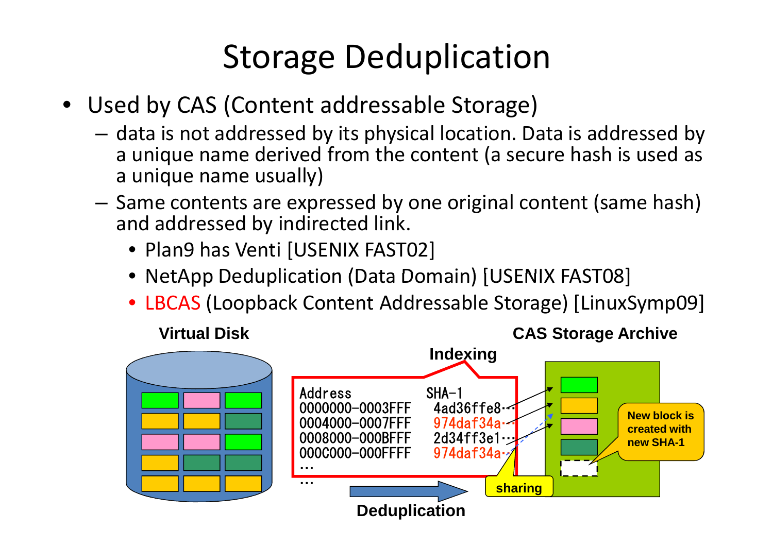#### Storage Deduplication

- Used by CAS (Content addressable Storage)
	- – $-$  data is not addressed by its physical location. Data is addressed by a unique name derived from the content (a secure hash is used as a unique name usually)
	- – Same contents are expressed by one original content (same hash) and addressed by indirected link.
		- Plan9 has Venti [USENIX FAST02]
		- NetApp Deduplication (Data Domain) [USENIX FAST08]
		- LBCAS (Loopback Content Addressable Storage) [LinuxSymp09]

**Deduplication**



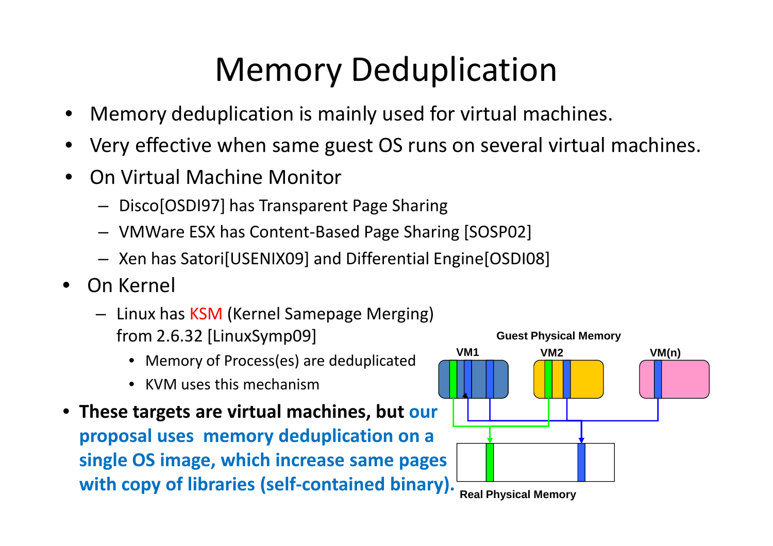# Memory Deduplication

- •Memory deduplication is mainly used for virtual machines.
- •Very effective when same guest OS runs on several virtual machines.
- • On Virtual Machine Monitor
	- Disco[OSDI97] has Transparent Page Sharing
	- VMWare ESX has Content-Based Page Sharing [SOSP02]
	- Xen has Satori[USENIX09] and Differential Engine[OSDI08]
- •On Kernel
	- Linux has KSM (Kernel Samepage Merging) from 2.6.32 [LinuxSymp09]
		- Memory of Process(es) are deduplicated
		- KVM uses this mechanism
- **These targets are virtual machines, but our proposal uses memory deduplication on a single OS image, which increase same pages with copy of libraries (self-contained binary).**

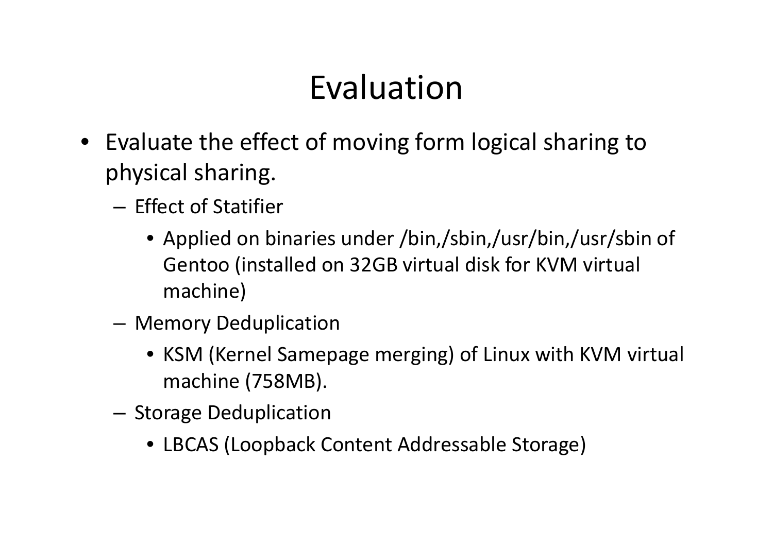### Evaluation

- Evaluate the effect of moving form logical sharing to physical sharing.
	- Effect of Statifier
		- Applied on binaries under /bin,/sbin,/usr/bin,/usr/sbin of Gentoo (installed on 32GB virtual disk for KVM virtual machine)
	- and the state of the Memory Deduplication
		- KSM (Kernel Samepage merging) of Linux with KVM virtual machine (758MB).
	- and the state of the  $-$  Storage Deduplication
		- LBCAS (Loopback Content Addressable Storage)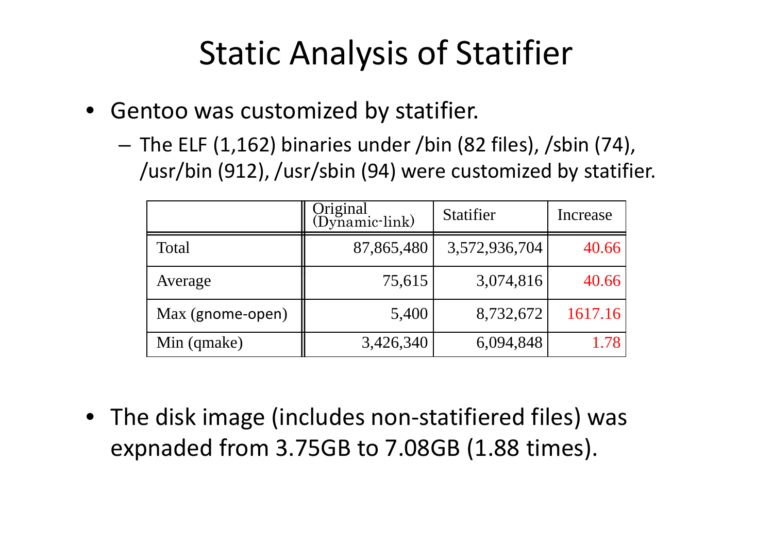### Static Analysis of Statifier

- Gentoo was customized by statifier.
	- **Links of the Common**  The ELF (1,162) binaries under /bin (82 files), /sbin (74), /usr/bin (912), /usr/sbin (94) were customized by statifier.

|                  | Original<br>(Dynamic-link) | Statifier     | Increase |
|------------------|----------------------------|---------------|----------|
| Total            | 87,865,480                 | 3,572,936,704 | 40.66    |
| Average          | 75,615                     | 3,074,816     | 40.66    |
| Max (gnome-open) | 5,400                      | 8,732,672     | 1617.16  |
| Min (qmake)      | 3,426,340                  | 6,094,848     | 1.78     |

• The disk image (includes non-statifiered files) was expnaded from 3.75GB to 7.08GB (1.88 times).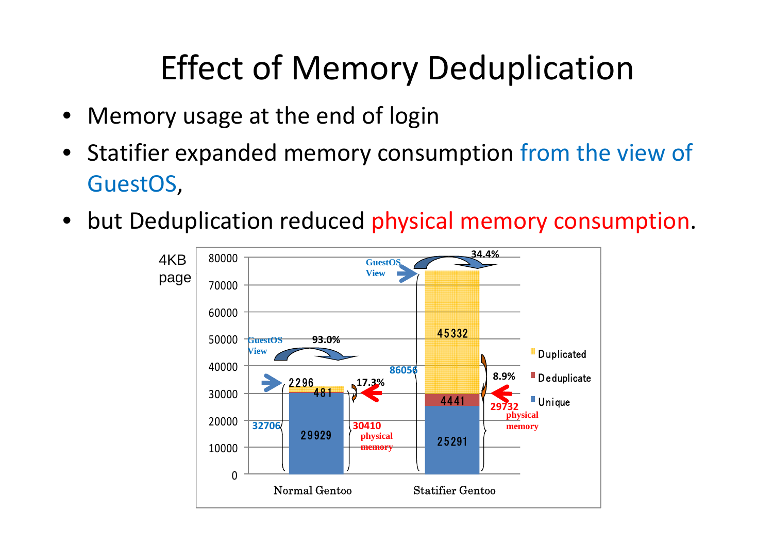### Effect of Memory Deduplication

- •Memory usage at the end of login
- • Statifier expanded memory consumption from the view of GuestOS,
- •but Deduplication reduced physical memory consumption.

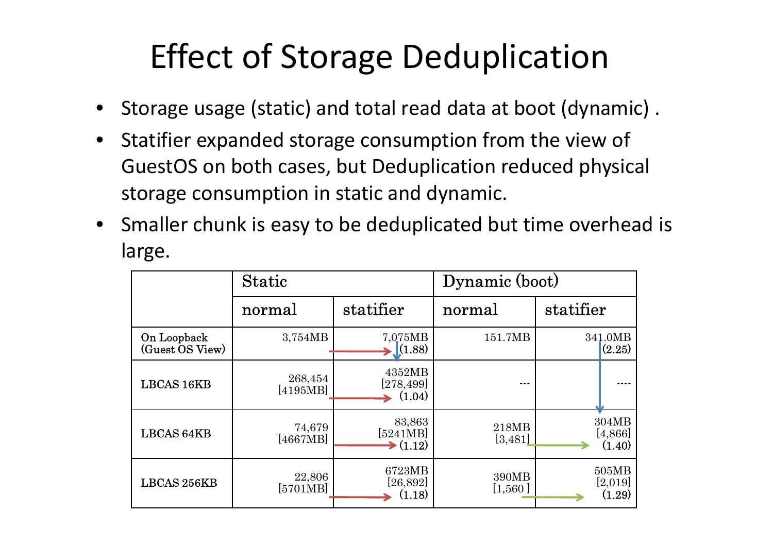# Effect of Storage Deduplication

- Storage usage (static) and total read data at boot (dynamic) .
- Statifier expanded storage consumption from the view of GuestOS on both cases, but Deduplication reduced physical storage consumption in static and dynamic.
- Smaller chunk is easy to be deduplicated but time overhead is large.

|                                | <b>Static</b>       |                                                    | Dynamic (boot)   |                            |  |
|--------------------------------|---------------------|----------------------------------------------------|------------------|----------------------------|--|
|                                | normal              | statifier                                          | normal           | statifier                  |  |
| On Loopback<br>(Guest OS View) | 3,754MB             | 7,075MB<br>(1.88)                                  | 151.7MB          | 341.0MB<br>(2.25)          |  |
| <b>LBCAS 16KB</b>              | 268,454<br>[4195MB] | 4352MB<br>[278, 499]<br>(1.04)                     | $- - -$          |                            |  |
| <b>LBCAS 64KB</b>              | 74,679<br>[4667MB]  | 83,863<br>[5241MB]<br>$\blacktriangleright$ (1.12) | 218MB<br>[3,481] | 304MB<br>[4,866]<br>(1.40) |  |
| <b>LBCAS 256KB</b>             | 22,806<br>[5701MB]  | 6723MB<br>[26, 892]<br>(1.18)                      | 390MB<br>[1,560] | 505MB<br>[2,019]<br>(1.29) |  |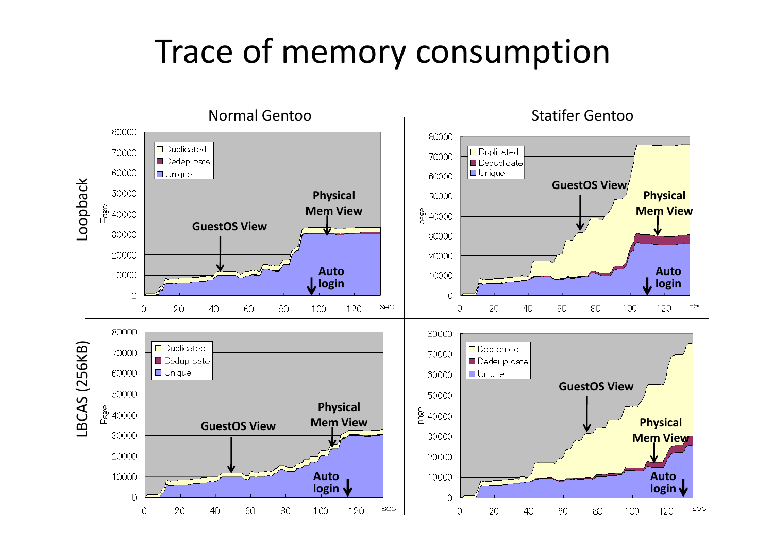#### Trace of memory consumption

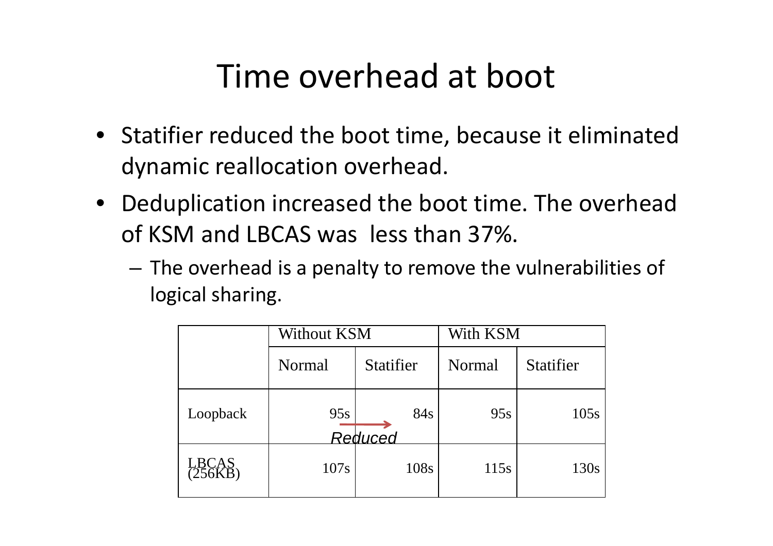#### Time overhead at boot

- Statifier reduced the boot time, because it eliminated dynamic reallocation overhead.
- Deduplication increased the boot time. The overhead of KSM and LBCAS was less than 37%.
	- $-$  The overhead is a penalty to remove the vulnerabilities of logical sharing.

|          | Without KSM |                  | With KSM |                  |
|----------|-------------|------------------|----------|------------------|
|          | Normal      | <b>Statifier</b> | Normal   | <b>Statifier</b> |
| Loopback | 95s         | 84s<br>Reduced   | 95s      | 105s             |
|          | 107s        | 108s             | 115s     | 130s             |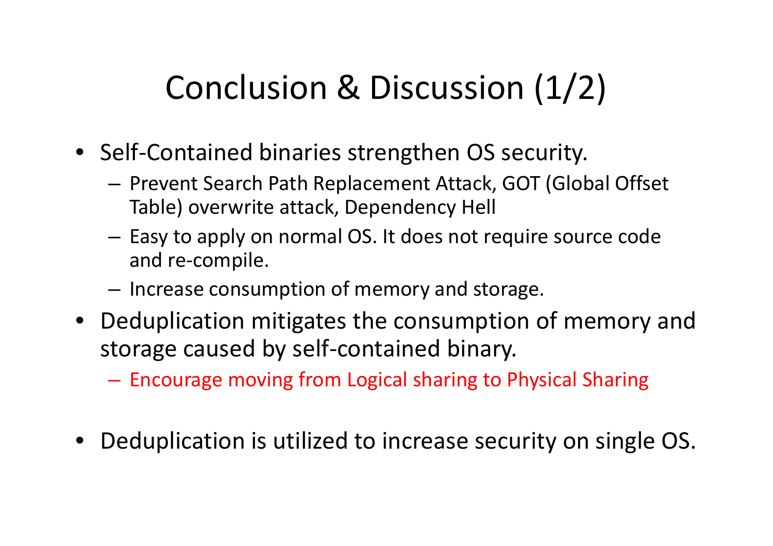### Conclusion & Discussion (1/2)

- Self-Contained binaries strengthen OS security.
	- **Links of the Company**  $-$  Prevent Search Path Replacement Attack, GOT (Global Offset) Table) overwrite attack, Dependency Hell
	- – $-$  Easy to apply on normal OS. It does not require source code and re-compile.
	- and the state of the  $-$  Increase consumption of memory and storage.
- Deduplication mitigates the consumption of memory and storage caused by self-contained binary.

**Lating Contract Contract**  $-$  Encourage moving from Logical sharing to Physical Sharing

• Deduplication is utilized to increase security on single OS.